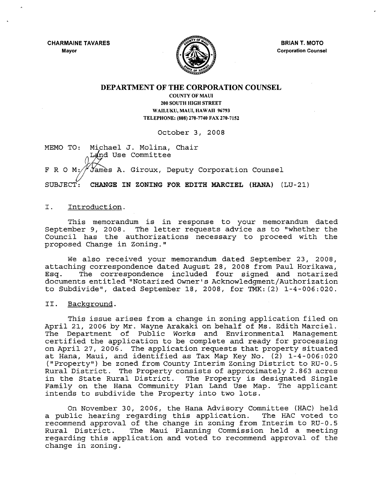CHARMAINE TAVARES Mayor



BRIAN T. MOTO Corporation Counsel

### DEPARTMENT OF THE CORPORATION COUNSEL

COUNTY OF MAUl 200 SOUTH HIGH STREET WAILUKU, MAUl, HAWAII 96793 TELEPHONE: (808) 270-7740 FAX 270-7152

October 3, 2008

MEMO TO: Michael J. Molina, Chair Land Use Committee

F R O M:  $\frac{y}{x}$  ames A. Giroux, Deputy Corporation Counsel

SUBJECT: CHANGE IN ZONING FOR EDITH MARCIEL (KANA) (LU-21)

### I. Introduction.

This memorandum is in response to your memorandum dated September 9, 2008. The letter requests advice as to "whether the Council has the authorizations necessary to proceed with the proposed Change in Zoning."

We also received your memorandum dated September 23, 2008, attaching correspondence dated August 28, 2008 from Paul Horikawa, Esq. The correspondence included four signed and notarized documents entitled "Notarized Owner's Acknowledgment/Authorization to Subdivide", dated September 18, 2008, for TMK: (2) 1-4-006:020.

#### II. Background.

This issue arises from a change in zoning application filed on April 21, 2006 by Mr. Wayne Arakaki on behalf of Ms. Edith Marciel. The Department of Public Works and Environmental Management certified the application to be complete and ready for processing on April 27, 2006. The application requests that property situated at Hana, Maui, and identified as Tax Map Key No. (2) 1-4-006:020 (" Property") be zoned from County Interim Zoning District to RU- 0 . 5 Rural District. The Property consists of approximately 2.863 acres in the State Rural District. The Property is designated Single Family on the Hana Community Plan Land Use Map. The applicant intends to subdivide the Property into two lots.

On November 30, 2006, the Hana Advisory Committee (HAC) held<br>blic hearing regarding this application. The HAC voted to a public hearing regarding this application. recommend approval of the change in zoning from Interim to RU-0.5 Rural District. The Maui Planning Commission held <sup>a</sup> meeting regarding this application and voted to recommend approval of the change in zoning.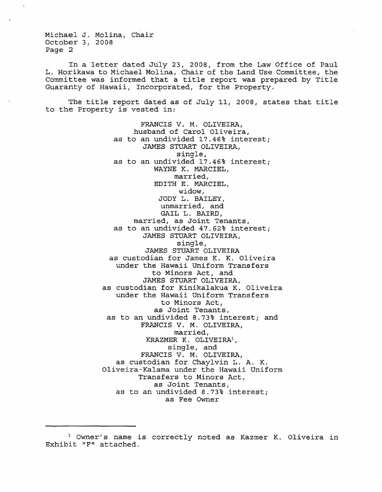Michael J. Molina, Chair October 3, 2008 Page 2

In <sup>a</sup> letter dated July 23, 2008, from the Law Office of Paul L. Horikawa to Michael Molina, Chair of the Land Use Committee, the Committee was informed that <sup>a</sup> title report was prepared by Title Guaranty of Hawaii, Incorporated, for the Property.

The title report dated as of July 11, 2008, states that title to the Property is vested in:

> FRANCIS V. M. OLIVEIRA, husband of Carol Oliveira, as to an undivided 17.46% interest; JAMES STUART OLIVEIRA, single, as to an undivided 17.46% interest; WAYNE K. MARCIEL, married, EDITH E. MARCIEL, widow, JODY L. BAILEY, unmarried, and GAIL L. BAIRD, married, as Joint Tenants, as to an undivided 47.62% interest; JAMES STUART OLIVEIRA, single, JAMES STUART OLIVEIRA as custodian for James K. K. Oliveira under the Hawaii Uniform Transfers to Minors Act, and JAMES STUART OLIVEIRA, as custodian for Kinikalakua K. Oliveira under the Hawaii Uniform Transfers to Minors Act, as Joint Tenants, as to an undivided 8.73% interest; and FRANCIS V. M. OLIVEIRA, married, KRAZMER K. OLIVEIRA<sup>1</sup>, single, and FRANCIS V. M. OLIVEIRA, as custodian for Chaylvin L. A. K. Oliveira-Kalama under the Hawaii Uniform Transfers to Minors Act, as Joint Tenants, as to an undivided 8.73% interest; as Fee Owner

<sup>1</sup> Owner's name is correctly noted as Kazmer K. Oliveira in Exhibit "F" attached.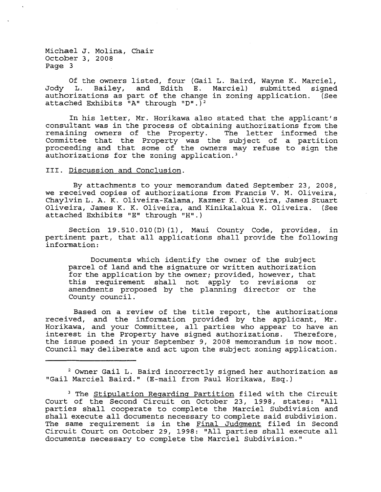Michael J. Molina, Chair October 3, 2008 Page 3

Of the owners listed, four (Gail L. Baird, Wayne K. Marciel,  $J$ ody L. Bailey, and Edith E. authorizations as part of the change in zoning application. (See attached Exhibits  $\overline{u}$ A" through "D". $\overline{v}$ <sup>2</sup>

In his letter, Mr. Horikawa also stated that the applicant's consultant was in the process of obtaining authorizations from the remaining owners of the Property. Committee that the Property was the subject of a partition proceeding and that some of the owners may refuse to sign the authorizations for the zoning application.<sup>3</sup>

III. Discussion and Conclusion.

By attachments to your memorandum dated September 23, 2008, we received copies of authorizations from Francis V. M. Oliveira, Chaylvin L. A. K. Oliveira-Kalama, Kazmer K. Oliveira, James Stuart Oliveira, James K. K. Oliveira, and Kinikalakua K. Oliveira. (See attached Exhibits "E" through "H".)

Section 19.510.010(D) (1), Maui County Code, provides, in pertinent part, that all applications shall provide the following information:

Documents which identify the owner of the subject parcel of land and the signature or written authorization for the application by the owner; provided, however, that this requirement shall not apply to revisions or amendments proposed by the planning director or the County council.

Based on <sup>a</sup> review of the title report, the authorizations received, and the information provided by the applicant, Mr. Horikawa, and your Committee, all parties who appear to have an interest in the Property have signed authorizations. Therefore, the issue posed in your September 9, 2008 memorandum is now moot. Council may deliberate and act upon the subject zoning application.

2 Owner Gail L. Baird incorrectly signed her authorization as "Gail Marciel Baird." (E-mail from Paul Horikawa, Esq.)

<sup>&</sup>lt;sup>3</sup> The Stipulation Regarding Partition filed with the Circuit Court of the Second Circuit on October 23, 1998, states: "All parties shall cooperate to complete the Marciel Subdivision and shall execute all documents necessary to complete said subdivision. The same requirement is in the Final Judgment filed in Second Circuit Court on October 29, 1998: "All parties shall execute all documents necessary to complete the Marciel Subdivision."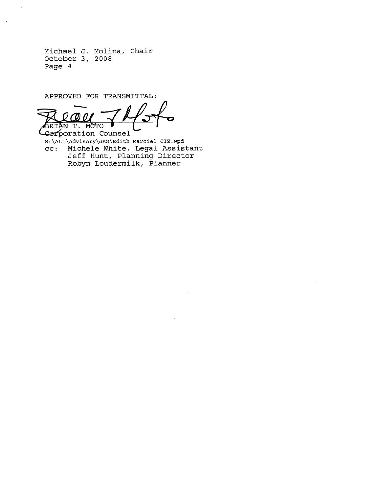Michael J. Molina, Chair October 3, 2008 Page 4

 $\ddot{\phantom{1}}$ 

APPROVED FOR TRANSMITTAL: BRIAN T. MC ED FOR TRAN

POration Counsel S:\ALL\Advisory\JAG\Edith Marciel CIZ.wpd cc: Michele White, Legal Assistant Jeff Hunt, Planning Director Robyn Loudermilk, Planner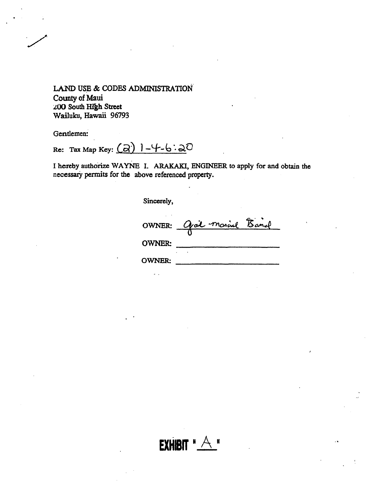Gentlemen:

Re: Tax Map Key:  $\overline{(a)}$   $\overline{)$   $\overline{+}$   $\overline{)}$   $\overline{)}$ 

I hereby authorize WAYNE I. ARAKAKI, ENGINEER to apply for and obtain the necessary permits for the above referenced property.

Sincerely,

|               | OWNER: Gail moine Band |  |
|---------------|------------------------|--|
| <b>OWNER:</b> |                        |  |
| <b>OWNER:</b> |                        |  |

EXHIBIT " $A$ "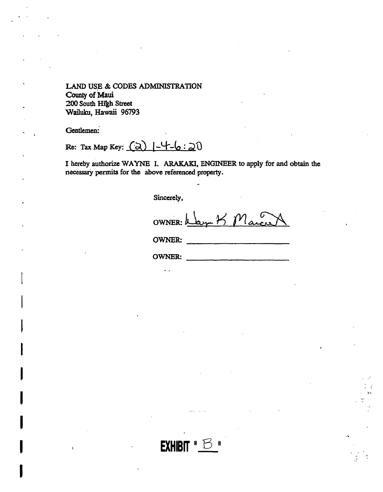Gentlemen:

Re: Tax Map Key:  $\odot$ )  $\left(-\frac{1}{6}\right)$   $\left(-\frac{1}{6}\right)$   $\odot$ 

I hereby authorize WAYNE I. ARAKAKI, ENGINEER to apply for and obtain the necessary permits for the above referenced property.

Sincerely,

am K Marco OWNER: U

**OWNER:** 

 $\overline{a}$ 

**OWNER:**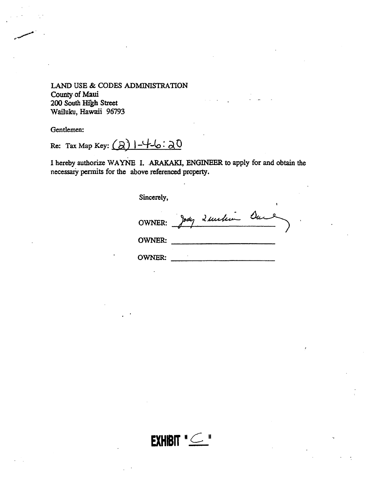Gentlemen:

Re: Tax Map Key:  $(a)$   $\rightarrow$   $\rightarrow$  6: 20

I hereby authorize WAYNE I. ARAKAKI, ENGINEER to apply for and obtain the necessary permits for the above referenced property.

Sincerely,

|               | OWNER: Jody 2 unclin Dur |  |
|---------------|--------------------------|--|
| <b>OWNER:</b> |                          |  |

**OWNER:** 

EXHIBIT "C"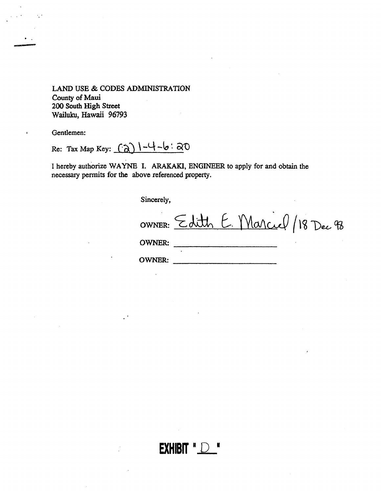Gentlemen:

Re: Tax Map Key:  $\left(\frac{\partial}{\partial x}\right)$  | -4 -6 :  $\partial$ 0

I hereby authorize WAYNE 1. ARAKAKI, ENGINEER to apply for and obtain the necessary permits for the above referenced property.

**EXHIBIT R** 

Sincerely,

OWNER: Edith E. Marcuel / 18 Dec 98 OWNER: \_ OWNER: \_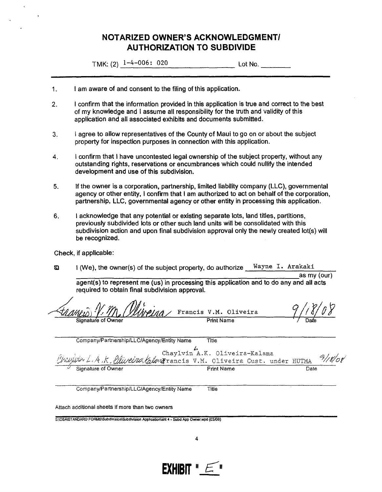# **NOTARIZED OWNER'S ACKNOWLEDGMENTI AUTHORIZATION TO SUBDIVIDE**

TMK: (2)  $1-4-006$ : 020 Lot No.

- 1. I am aware of and consent to the filing of this application.
- 2. I confirm that the information provided in this application is true and correct to the best of my knowledge and I assume all responsibility for the truth and validity of this application and all associated exhibits and documents submitted.
- 3. I agree to allow representatives of the County of Maui to go on or about the subject property for inspection purposes in connection with this application.
- 4. I confirm that I have uncontested legal ownership of the subject property, without any outstanding rights, reservations or encumbrances which could nullify the intended development and use of this subdivision.
- 5. If the owner is a corporation, partnership, limited liability company (LLC), governmental agency or other entity, I confirm that I am authorized to act on behalf of the corporation, partnership, LLC, governmental agency or other entity in processing this application.
- 6. I acknowledge that any potential or existing separate lots, land titles, partitions, previously subdivided lots or other such land units will be consolidated with this subdivision action and upon final subdivision approval only the newly created lot(s) will be recognized.

Check, if applicable:

 $\Omega$  I (We), the owner(s) of the subject property, do authorize  $\frac{W{\text{a}} y n e I. Arakaki}{a s m y (our)}$ 

agent(s) to represent me (us) in processing this application and to do any and all acts required to obtain final subdivision approval.

|                                                                                                                  | Winning Francis V.M. Oliveira |      |
|------------------------------------------------------------------------------------------------------------------|-------------------------------|------|
| Signature of Owner                                                                                               | <b>Print Name</b>             | Date |
| Company/Partnership/LLC/Agency/Entity Name                                                                       | Title                         |      |
| Chaylvin A.K. Oliveira-Kalama<br><i>(Vellydin L.A.K. Qliveira kalana</i> rancis V.M. Oliveira Cust. under HUTMA) |                               |      |
| Signature of Owner                                                                                               | <b>Print Name</b>             | Date |

Company/Partnership/LLC/Agency/Entity Name Title

Attach additional sheets if more than two owners

S:IDSAISTANDARD FORMS\Subdivision\Subdivision Application\sht 4 - Subd App Owner.wpd (03/08)

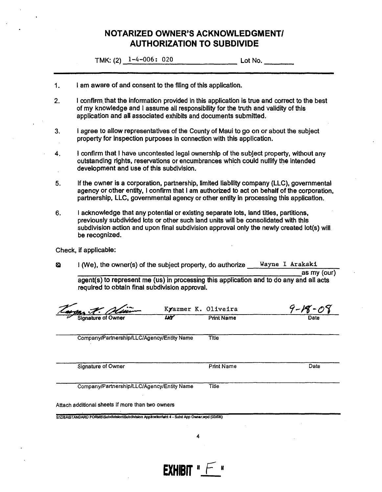# **NOTARIZED OWNER'S ACKNOWLEDGMENT! AUTHORIZATION TO SUBDIVIDE**

TMK: (2)  $1-4-006$ : 020

- 1. I am aware of and consent to the filing of this application.
- 2. I confirm that the information provided in this application is true and correct to the best of my knowledge and I assume all responsibility for the truth and validity of this application and all associated exhibits and documents submitted.
- 3. I agree to allow representatives of the County of Maui to go on or about the subject property for inspection purposes in connection with this application.
- 4. I confirm that I have uncontested legal ownership of the subject property, without any outstanding rights, reservations or encumbrances which could nullify the intended development and use of this subdivision. .
- 5. If the owner is a corporation, partnership, limited liability company (LLC), governmental agency or other entity, I confirm that I am authorized to act on behalf of the corporation, partnership, LLC, governmental agency or other entity in processing this application.
- 6. I acknowledge that any potential or existing separate lots, land titles, partitions, preViously subdivided lots or other such land units will be consolidated with this subdivision action and upon final subdivision approval only the newly created lot(s) will. be recognized.

Check, if applicable:

- **a** I (We), the owner(s) of the subject property, do authorize Wayne I Arakaki
	- as my (our) agent(s) to represent me (us) in processing this application and to do any and all acts required to obtain final subdivision approval.

| Olivin                                                                                       |   | Kyazmer K. Oliveira | $9 - 18 - 08$ |
|----------------------------------------------------------------------------------------------|---|---------------------|---------------|
| <b>Signature of Owner</b>                                                                    | W | <b>Print Name</b>   | Date          |
| Company/Partnership/LLC/Agency/Entity Name                                                   |   | Title               |               |
| Signature of Owner                                                                           |   | <b>Print Name</b>   | Date          |
| Company/Partnership/LLC/Agency/Entity Name                                                   |   | Title               |               |
| Attach additional sheets if more than two owners                                             |   |                     |               |
| S:\DSA\STANDARD FORMS\Subdivision\Subdivision Application\sht 4 - Subd App Owner.wpd (03/08) |   |                     |               |

**EXHIBIT "**  $\vdash$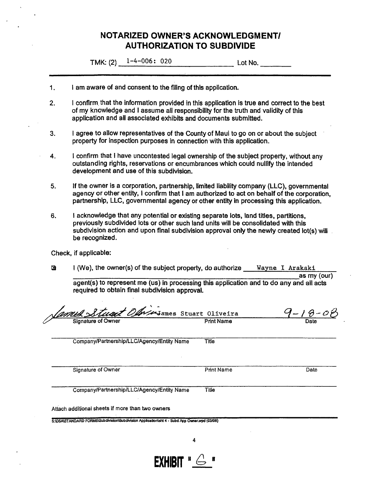# **NOTARIZED OWNER'S ACKNOWLEDGMENTI AUTHORIZATION TO SUBDIVIDE**

TMK:  $(2)$   $1-4-006$ : 020 Lot No.

- 1. I am aware of and consent to the filing of this application.
- 2. I confirm. that the information provided in this application is true and correct to the best of my knowledge and I assume all responsibility for the truth and validity of this application and all associated exhibits and documents submitted.
- 3. I agree to allow representatives of the County of Maui to go on or about the subject property for inspection purposes in connection with this application.
- 4. I confirm that I have uncontested legal ownership of the subject property, without any outstanding rights, reservations or encumbrances which could nullify the intended development and use of this subdivision.
- 5. If the owner is a corporation, partnership, limited liability company (LLC), governmental agency or other entity, I confirm that I am authorized to act on behalf of the corporation, partnership, LLC, governmental agency or other entity in processing this application.
- 6. I acknowledge that any potential or existing separate lots, land titles, partitions, preViously subdivided lots or other such land units will be consolidated with this subdivision action and upon final subdivision approval only the newly created lot(s) will be recognized.

Check, if applicable:

 $Q$  I (We), the owner(s) of the subject property, do authorize <u>Wayne I Arakaki</u> as my (our)

agent(s) to represent me (us) in processing this application and to do any and all acts reqUired to obtain final subdivision approval.

| <u>Samed Stuart Oliversames</u> Stuart Oliveira |                   | Date |
|-------------------------------------------------|-------------------|------|
| Company/Partnership/LLC/Agency/Entity Name      | Title             |      |
| Signature of Owner                              | <b>Print Name</b> | Date |
| Company/Partnership/LLC/Agency/Entity Name      | Title             |      |

**EXHIBIT**  $\mathbf{H} \oplus \mathbf{H}$